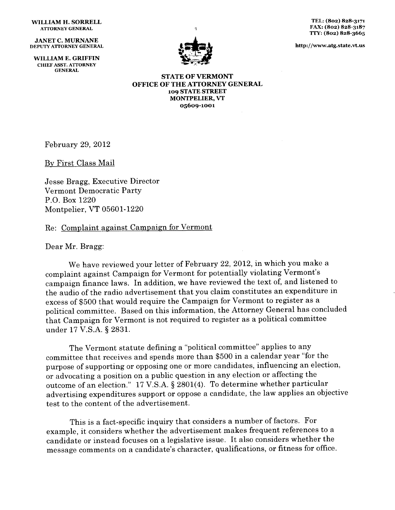## WILLIAM **H. SORRELL ATTORNEY GENERAL**

**JANET C. MURNANE DEPUTY ATTORNEY GENERAL**

WILLIAM **E. GRIFFIN CHIEF ASST. ATTORNEY GENERAL**



TEL: **(802) 828-3171** FAX: **(802) 828-3187 TTY: (8o2) 828-3665**

**http://www.atg.state.vlus**

**STATE OF VERMONT OFFICE OF THE ATTORNEY GENERAL 109 STATE STREET MONTPELIER,** VT **05609-1001**

February 29, 2012

By First Class Mail

Jesse Bragg, Executive Director Vermont Democratic Party P.O. Box 1220 Montpelier, VT 05601-1220

## Re: Complaint against Campaign for Vermont

Dear Mr. Bragg:

We have reviewed your letter of February 22, 2012, in which you make a complaint against Campaign for Vermont for potentially violating Vermont's campaign finance laws. In addition, we have reviewed the text of, and listened to the audio of the radio advertisement that you claim constitutes an expenditure in excess of \$500 that would require the Campaign for Vermont to register as a political committee. Based on this information, the Attorney General has concluded that Campaign for Vermont is not required to register as a political committee under 17 V.S.A. § 2831.

The Vermont statute defining a "political committee" applies to any committee that receives and spends more than \$500 in a calendar year "for the purpose of supporting or opposing one or more candidates, influencing an election, or advocating a position on a public question in any election or affecting the outcome of an election." 17 V.S.A. § 2801(4). To determine whether particular advertising expenditures support or oppose a candidate, the law applies an objective test to the content of the advertisement.

This is a fact-specific inquiry that considers a number of factors. For example, it considers whether the advertisement makes frequent references to a candidate or instead focuses on a legislative issue. It also considers whether the message comments on a candidate's character, qualifications, or fitness for office.